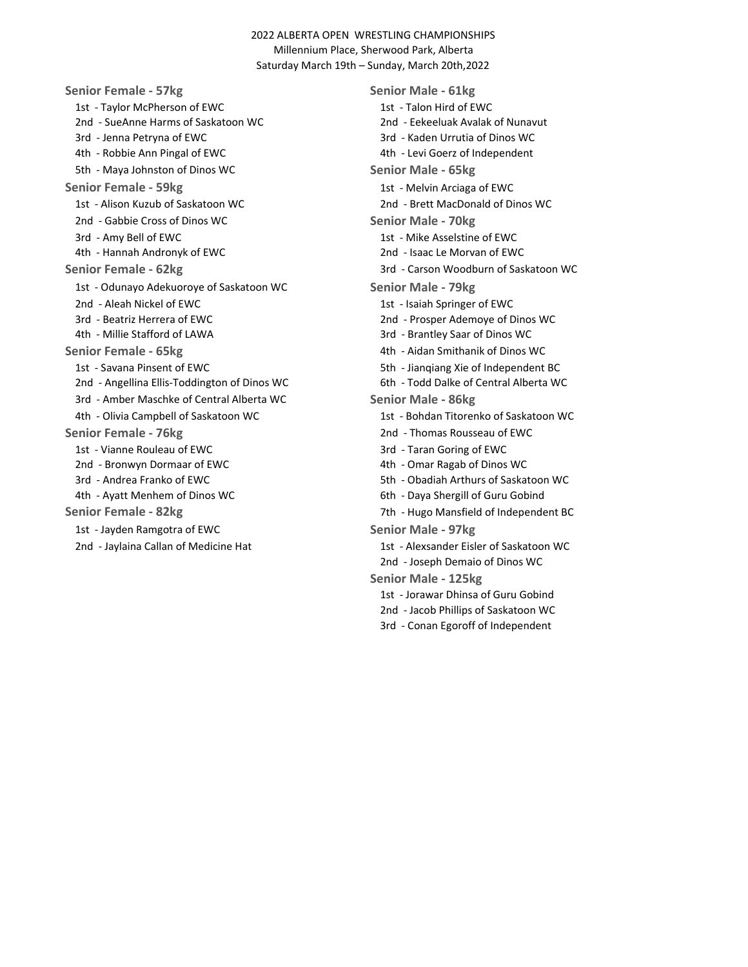Senior Female - 57kg<br>
Senior Male - 61kg 1st - Taylor McPherson of EWC 1st - Talon Hird of EWC 2nd - SueAnne Harms of Saskatoon WC 2nd - Eekeeluak Avalak of Nunavut 3rd - Jenna Petryna of EWC 3rd - Kaden Urrutia of Dinos WC 4th - Robbie Ann Pingal of EWC 4th - Levi Goerz of Independent 5th - Maya Johnston of Dinos WC Senior Male - 65kg Senior Female - 59kg<br>
1st - Melvin Arciaga of EWC 1st - Alison Kuzub of Saskatoon WC 2nd - Brett MacDonald of Dinos WC 2nd - Gabbie Cross of Dinos WC Senior Male - 70kg 3rd - Amy Bell of EWC 1st - Mike Asselstine of EWC 4th - Hannah Andronyk of EWC 2nd - Isaac Le Morvan of EWC Senior Female - 62kg 3rd - Carson Woodburn of Saskatoon WC 1st - Odunayo Adekuoroye of Saskatoon WC Senior Male - 79kg 2nd - Aleah Nickel of EWC 1st - Isaiah Springer of EWC 3rd - Beatriz Herrera of EWC 2nd - Prosper Ademoye of Dinos WC 4th - Millie Stafford of LAWA 3rd - Brantley Saar of Dinos WC Senior Female - 65kg and the state of the 4th - Aidan Smithanik of Dinos WC 1st - Savana Pinsent of EWC 6th - Jiangiang Xie of Independent BC 2nd - Angellina Ellis-Toddington of Dinos WC 6th - Todd Dalke of Central Alberta WC 3rd - Amber Maschke of Central Alberta WC Senior Male - 86kg 4th - Olivia Campbell of Saskatoon WC 1st - Bohdan Titorenko of Saskatoon WC Senior Female - 76kg<br>
2nd - Thomas Rousseau of EWC 1st - Vianne Rouleau of EWC 3rd - Taran Goring of EWC 2nd - Bronwyn Dormaar of EWC 600 and 200 and 2012 4th - Omar Ragab of Dinos WC 3rd - Andrea Franko of EWC 5th - Obadiah Arthurs of Saskatoon WC 4th - Ayatt Menhem of Dinos WC 6th - Daya Shergill of Guru Gobind Senior Female - 82kg 7th - Hugo Mansfield of Independent BC 1st - Jayden Ramgotra of EWC Senior Male - 97kg

2nd - Jaylaina Callan of Medicine Hat 1st - Alexsander Eisler of Saskatoon WC 2nd - Joseph Demaio of Dinos WC Senior Male - 125kg 1st - Jorawar Dhinsa of Guru Gobind 2nd - Jacob Phillips of Saskatoon WC 3rd - Conan Egoroff of Independent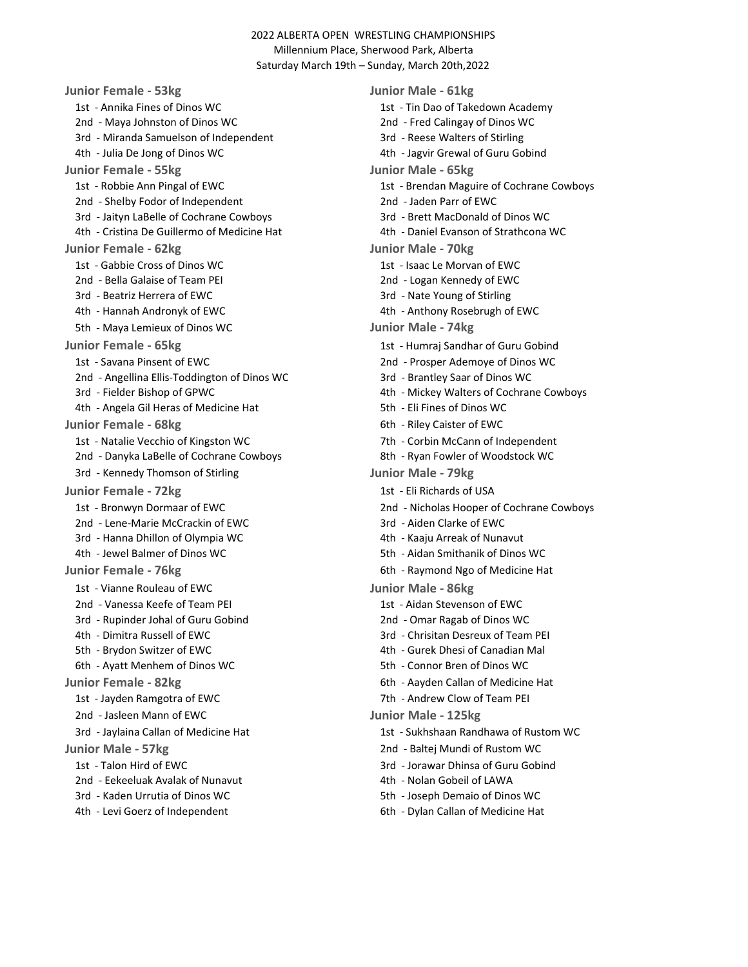Junior Female - 53kg Junior Male - 61kg 1st - Annika Fines of Dinos WC 1st - Tin Dao of Takedown Academy 2nd - Maya Johnston of Dinos WC 2nd - Fred Calingay of Dinos WC 3rd - Miranda Samuelson of Independent 3rd - Reese Walters of Stirling 4th - Julia De Jong of Dinos WC 4th - Jagvir Grewal of Guru Gobind Junior Female - 55kg Junior Male - 65kg 2nd - Shelby Fodor of Independent 2nd - Jaden Parr of EWC 3rd - Jaityn LaBelle of Cochrane Cowboys 3rd - Brett MacDonald of Dinos WC 4th - Cristina De Guillermo of Medicine Hat 4th - Daniel Evanson of Strathcona WC Junior Female - 62kg Junior Male - 70kg 1st - Gabbie Cross of Dinos WC 1st - Isaac Le Morvan of EWC 2nd - Bella Galaise of Team PEI 2nd - Logan Kennedy of EWC 3rd - Beatriz Herrera of EWC 3rd - Nate Young of Stirling 4th - Hannah Andronyk of EWC 4th - Anthony Rosebrugh of EWC 5th - Maya Lemieux of Dinos WC **Junior Male - 74kg** Junior Female - 65kg 1st - Humraj Sandhar of Guru Gobind 1st - Savana Pinsent of EWC 2nd - Prosper Ademoye of Dinos WC 2nd - Angellina Ellis-Toddington of Dinos WC 3rd - Brantley Saar of Dinos WC 3rd - Fielder Bishop of GPWC 4th - Mickey Walters of Cochrane Cowboys 4th - Angela Gil Heras of Medicine Hat 5th - Eli Fines of Dinos WC Junior Female - 68kg 6th - Riley Caister of EWC 1st - Natalie Vecchio of Kingston WC 7th - Corbin McCann of Independent 2nd - Danyka LaBelle of Cochrane Cowboys 8th - Ryan Fowler of Woodstock WC 3rd - Kennedy Thomson of Stirling Theorem 1986 Supply Junior Male - 79kg Junior Female - 72kg 1st - Eli Richards of USA 2nd - Lene-Marie McCrackin of EWC 3rd - Aiden Clarke of EWC 3rd - Hanna Dhillon of Olympia WC 4th - Kaaju Arreak of Nunavut 4th - Jewel Balmer of Dinos WC 5th - Aidan Smithanik of Dinos WC Junior Female - 76kg 6th - Raymond Ngo of Medicine Hat 1st - Vianne Rouleau of EWC Junior Male - 86kg 2nd - Vanessa Keefe of Team PEI 1st - Aidan Stevenson of EWC 3rd - Rupinder Johal of Guru Gobind 2nd - Omar Ragab of Dinos WC 4th - Dimitra Russell of EWC 3rd - Chrisitan Desreux of Team PEI 5th - Brydon Switzer of EWC 4th - Gurek Dhesi of Canadian Mal 6th - Ayatt Menhem of Dinos WC 5th - Connor Bren of Dinos WC Junior Female - 82kg 6th - Aayden Callan of Medicine Hat 1st - Jayden Ramgotra of EWC 7th - Andrew Clow of Team PEI 2nd - Jasleen Mann of EWC **Junior Male - 125kg** 3rd - Jaylaina Callan of Medicine Hat 1st - Sukhshaan Randhawa of Rustom WC Junior Male - 57kg 2nd - Baltej Mundi of Rustom WC 1st - Talon Hird of EWC 3rd - Jorawar Dhinsa of Guru Gobind 2nd - Eekeeluak Avalak of Nunavut 1000 minuta ka 4th - Nolan Gobeil of LAWA 3rd - Kaden Urrutia of Dinos WC 5th - Joseph Demaio of Dinos WC

1st - Robbie Ann Pingal of EWC 1st - Brendan Maguire of Cochrane Cowboys 1st - Bronwyn Dormaar of EWC 2nd - Nicholas Hooper of Cochrane Cowboys

4th - Levi Goerz of Independent 6th - Dylan Callan of Medicine Hat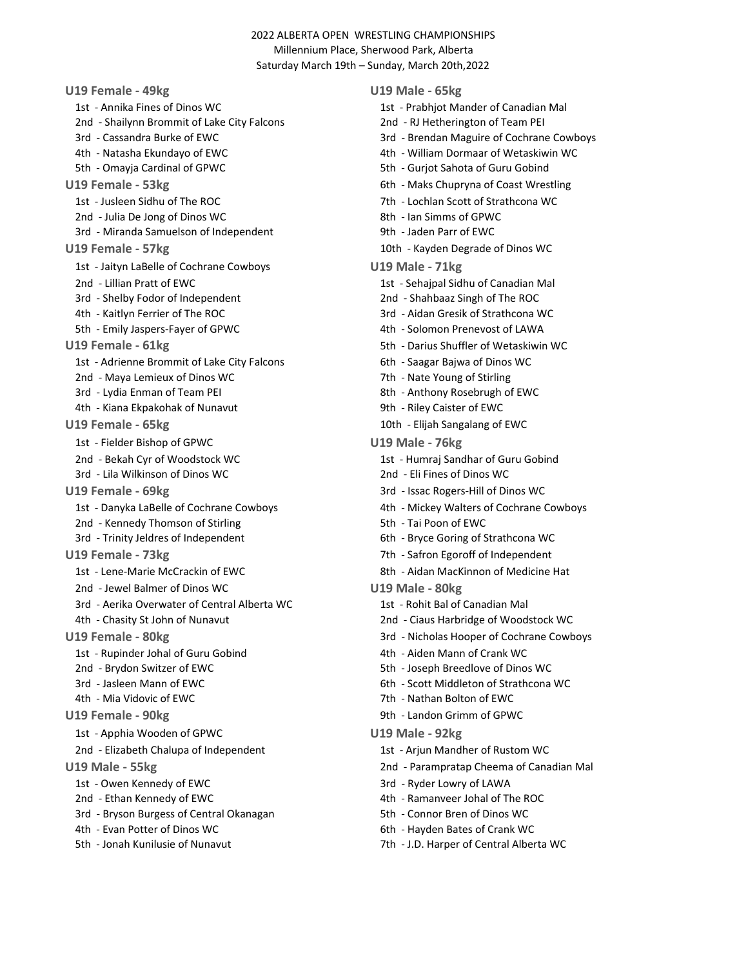U19 Female - 49kg U19 Male - 65kg 1st - Annika Fines of Dinos WC 1st - Prabhjot Mander of Canadian Mal 2nd - Shailynn Brommit of Lake City Falcons 2nd - RJ Hetherington of Team PEI 5th - Omayja Cardinal of GPWC 5th - Gurjot Sahota of Guru Gobind U19 Female - 53kg 6th - Maks Chupryna of Coast Wrestling 1st - Jusleen Sidhu of The ROC 7th - Lochlan Scott of Strathcona WC 2nd - Julia De Jong of Dinos WC 8th - Ian Simms of GPWC 3rd - Miranda Samuelson of Independent 19th - Jaden Parr of EWC U19 Female - 57kg 10th - Kayden Degrade of Dinos WC 1st - Jaityn LaBelle of Cochrane Cowboys U19 Male - 71kg 2nd - Lillian Pratt of EWC 1st - Sehajpal Sidhu of Canadian Mal 3rd - Shelby Fodor of Independent 2nd - Shahbaaz Singh of The ROC 4th - Kaitlyn Ferrier of The ROC 3rd - Aidan Gresik of Strathcona WC 5th - Emily Jaspers-Fayer of GPWC 4th - Solomon Prenevost of LAWA U19 Female - 61kg 5th - Darius Shuffler of Wetaskiwin WC 1st - Adrienne Brommit of Lake City Falcons 6th - Saagar Bajwa of Dinos WC 2nd - Maya Lemieux of Dinos WC 7th - Nate Young of Stirling 3rd - Lydia Enman of Team PEI 8th - Anthony Rosebrugh of EWC 4th - Kiana Ekpakohak of Nunavut 9th - Riley Caister of EWC U19 Female - 65kg 10th - Elijah Sangalang of EWC 1st - Fielder Bishop of GPWC U19 Male - 76kg 2nd - Bekah Cyr of Woodstock WC 1st - Humraj Sandhar of Guru Gobind 3rd - Lila Wilkinson of Dinos WC 2nd - Eli Fines of Dinos WC U19 Female - 69kg 3rd - Issac Rogers-Hill of Dinos WC 2nd - Kennedy Thomson of Stirling 5th - Tai Poon of EWC 3rd - Trinity Jeldres of Independent 6th - Bryce Goring of Strathcona WC U19 Female - 73kg 7th - Safron Egoroff of Independent 1st - Lene-Marie McCrackin of EWC 8th - Aidan MacKinnon of Medicine Hat 2nd - Jewel Balmer of Dinos WC U19 Male - 80kg 3rd - Aerika Overwater of Central Alberta WC 1st - Rohit Bal of Canadian Mal 1st - Rupinder Johal of Guru Gobind 150 block and 4th - Aiden Mann of Crank WC 2nd - Brydon Switzer of EWC 5th - Joseph Breedlove of Dinos WC 3rd - Jasleen Mann of EWC 6th - Scott Middleton of Strathcona WC 4th - Mia Vidovic of EWC 7th - Nathan Bolton of EWC U19 Female - 90kg 9th - Landon Grimm of GPWC 1st - Apphia Wooden of GPWC U19 Male - 92kg 2nd - Elizabeth Chalupa of Independent 1st - Arjun Mandher of Rustom WC U19 Male - 55kg 2nd - Parampratap Cheema of Canadian Mal 1st - Owen Kennedy of EWC 3rd - Ryder Lowry of LAWA 2nd - Ethan Kennedy of EWC 4th - Ramanveer Johal of The ROC 3rd - Bryson Burgess of Central Okanagan 5th - Connor Bren of Dinos WC 4th - Evan Potter of Dinos WC 6th - Hayden Bates of Crank WC

3rd - Cassandra Burke of EWC 3rd - Brendan Maguire of Cochrane Cowboys 4th - Natasha Ekundayo of EWC 4th - William Dormaar of Wetaskiwin WC 1st - Danyka LaBelle of Cochrane Cowboys 4th - Mickey Walters of Cochrane Cowboys 4th - Chasity St John of Nunavut 2nd - Ciaus Harbridge of Woodstock WC U19 Female - 80kg 3rd - Nicholas Hooper of Cochrane Cowboys

- 
- 
- 
- 
- 5th Jonah Kunilusie of Nunavut 7th J.D. Harper of Central Alberta WC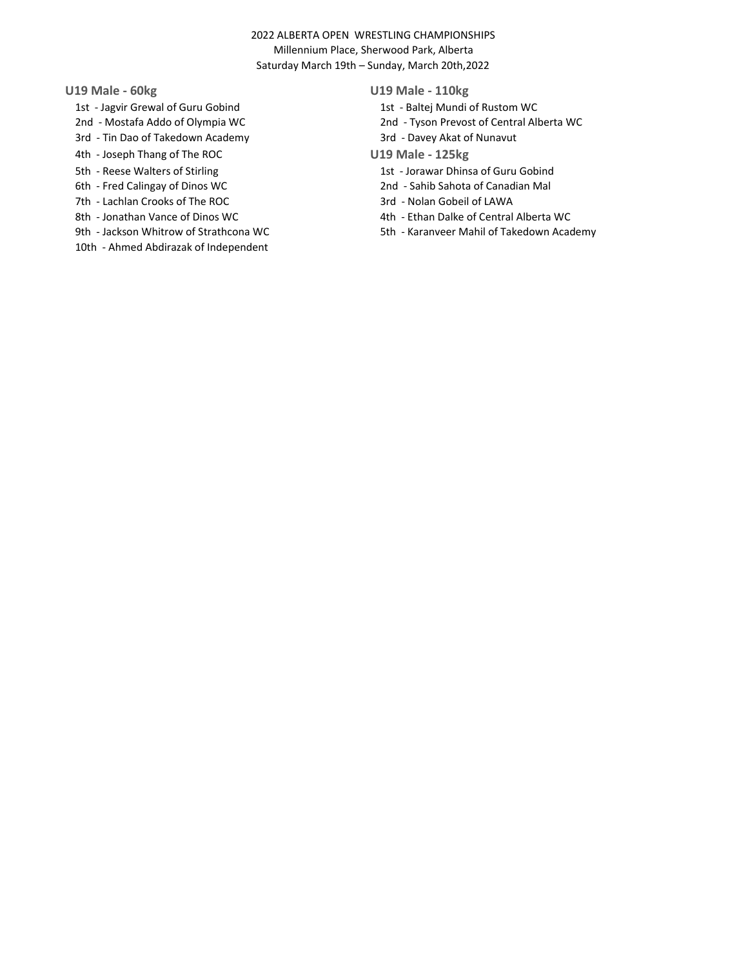- 1st Jagvir Grewal of Guru Gobind 1st Baltej Mundi of Rustom WC
- 
- 3rd Tin Dao of Takedown Academy 3rd Davey Akat of Nunavut
- 4th Joseph Thang of The ROC U19 Male 125kg
- 
- 
- 7th Lachlan Crooks of The ROC 3rd Nolan Gobeil of LAWA
- 
- 
- 10th Ahmed Abdirazak of Independent

# U19 Male - 60kg U19 Male - 110kg

- 
- 2nd Mostafa Addo of Olympia WC 2nd Tyson Prevost of Central Alberta WC
	-
	-
- 5th Reese Walters of Stirling 1st Jorawar Dhinsa of Guru Gobind
- 6th Fred Calingay of Dinos WC 2nd Sahib Sahota of Canadian Mal
	-
- 8th Jonathan Vance of Dinos WC 68 and 1988 1998 4th Ethan Dalke of Central Alberta WC
- 9th Jackson Whitrow of Strathcona WC 5th Karanveer Mahil of Takedown Academy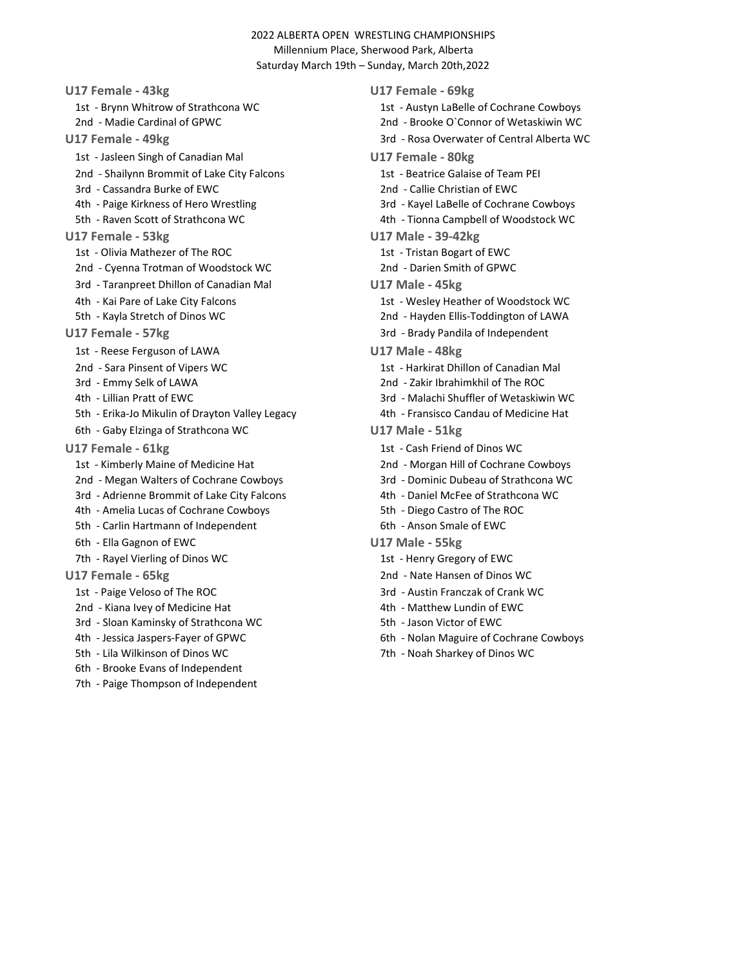U17 Female - 43kg U17 Female - 69kg 1st - Brynn Whitrow of Strathcona WC 1st - Austyn LaBelle of Cochrane Cowboys 2nd - Madie Cardinal of GPWC 2nd - Brooke O`Connor of Wetaskiwin WC U17 Female - 49kg 3rd - Rosa Overwater of Central Alberta WC 1st - Jasleen Singh of Canadian Mal U17 Female - 80kg 2nd - Shailynn Brommit of Lake City Falcons 1st - Beatrice Galaise of Team PEI 3rd - Cassandra Burke of EWC 2nd - Callie Christian of EWC 4th - Paige Kirkness of Hero Wrestling 3rd - Kayel LaBelle of Cochrane Cowboys 5th - Raven Scott of Strathcona WC 4th - Tionna Campbell of Woodstock WC U17 Female - 53kg U17 Male - 39-42kg 1st - Olivia Mathezer of The ROC 1st - Tristan Bogart of EWC 2nd - Cyenna Trotman of Woodstock WC 2nd - Darien Smith of GPWC 3rd - Taranpreet Dhillon of Canadian Mal **U17 Male - 45kg** 4th - Kai Pare of Lake City Falcons 1st - Wesley Heather of Woodstock WC 5th - Kayla Stretch of Dinos WC 2nd - Hayden Ellis-Toddington of LAWA U17 Female - 57kg 3rd - Brady Pandila of Independent 1st - Reese Ferguson of LAWA U17 Male - 48kg 2nd - Sara Pinsent of Vipers WC 1st - Harkirat Dhillon of Canadian Mal 3rd - Emmy Selk of LAWA 2nd - Zakir Ibrahimkhil of The ROC 4th - Lillian Pratt of EWC 3rd - Malachi Shuffler of Wetaskiwin WC 5th - Erika-Jo Mikulin of Drayton Valley Legacy 4th - Fransisco Candau of Medicine Hat 6th - Gaby Elzinga of Strathcona WC U17 Male - 51kg U17 Female - 61kg 1st - Cash Friend of Dinos WC 1st - Kimberly Maine of Medicine Hat 2nd - Morgan Hill of Cochrane Cowboys 2nd - Megan Walters of Cochrane Cowboys 3rd - Dominic Dubeau of Strathcona WC 3rd - Adrienne Brommit of Lake City Falcons 4th - Daniel McFee of Strathcona WC 4th - Amelia Lucas of Cochrane Cowboys 5th - Diego Castro of The ROC 5th - Carlin Hartmann of Independent 6th - Anson Smale of EWC 6th - Ella Gagnon of EWC U17 Male - 55kg 7th - Rayel Vierling of Dinos WC 1st - Henry Gregory of EWC U17 Female - 65kg 2nd - Nate Hansen of Dinos WC 1st - Paige Veloso of The ROC 3rd - Austin Franczak of Crank WC 2nd - Kiana Ivey of Medicine Hat 4th - Matthew Lundin of EWC 3rd - Sloan Kaminsky of Strathcona WC 5th - Jason Victor of EWC

- 
- 
- 6th Brooke Evans of Independent
- 
- 7th Paige Thompson of Independent

- 4th Jessica Jaspers-Fayer of GPWC 6th Nolan Maguire of Cochrane Cowboys
- 5th Lila Wilkinson of Dinos WC 7th Noah Sharkey of Dinos WC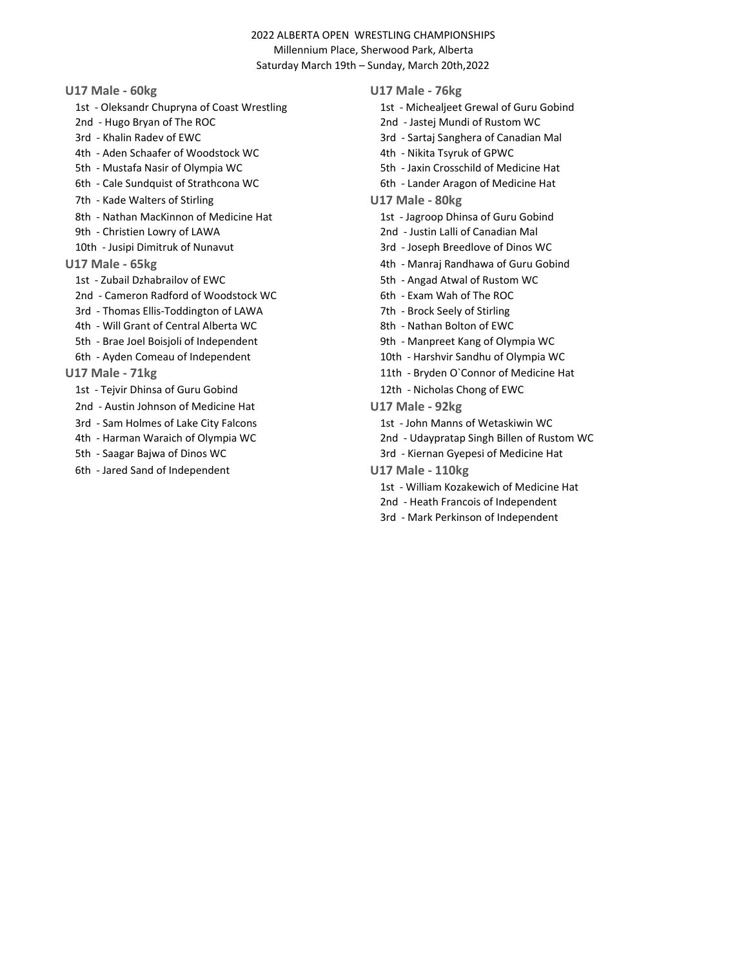- 1st Oleksandr Chupryna of Coast Wrestling 1st Michealjeet Grewal of Guru Gobind
- 2nd Hugo Bryan of The ROC 2nd Jastej Mundi of Rustom WC
- 
- 4th Aden Schaafer of Woodstock WC 4th Nikita Tsyruk of GPWC
- 5th Mustafa Nasir of Olympia WC 5th Jaxin Crosschild of Medicine Hat
- 6th Cale Sundquist of Strathcona WC 6th Lander Aragon of Medicine Hat
- 7th Kade Walters of Stirling The Control of Stirling U17 Male 80kg
- 8th Nathan MacKinnon of Medicine Hat 1st Jagroop Dhinsa of Guru Gobind
- 9th Christien Lowry of LAWA 2nd Justin Lalli of Canadian Mal
- 
- -
	- 2nd Cameron Radford of Woodstock WC 6th Exam Wah of The ROC
	- 3rd Thomas Ellis-Toddington of LAWA 7th Brock Seely of Stirling
	- 4th Will Grant of Central Alberta WC 8th Nathan Bolton of EWC
	-
	-
- - 1st Tejvir Dhinsa of Guru Gobind 12th Nicholas Chong of EWC
	- 2nd Austin Johnson of Medicine Hat Valle 92kg
	- 3rd Sam Holmes of Lake City Falcons 1st 1st John Manns of Wetaskiwin WC
	-
	-
	- 6th Jared Sand of Independent U17 Male 110kg

## U17 Male - 60kg U17 Male - 76kg

- 
- 
- 3rd Khalin Radev of EWC 3rd Sartaj Sanghera of Canadian Mal
	-
	-
	-
	- -
		-
- 10th Jusipi Dimitruk of Nunavut 3rd Joseph Breedlove of Dinos WC
- U17 Male 65kg + 12 million control of the 4th Manraj Randhawa of Guru Gobind
	- 1st Zubail Dzhabrailov of EWC 6th Angad Atwal of Rustom WC
		-
		-
		-
	- 5th Brae Joel Boisjoli of Independent 9th Manpreet Kang of Olympia WC
	- 6th Ayden Comeau of Independent 10th Harshvir Sandhu of Olympia WC
- U17 Male 71kg 11th Bryden O'Connor of Medicine Hat
	-
	- -
	- 4th Harman Waraich of Olympia WC 2nd Udaypratap Singh Billen of Rustom WC
	- 5th Saagar Bajwa of Dinos WC 3rd Kiernan Gyepesi of Medicine Hat
		- - 1st William Kozakewich of Medicine Hat
			- 2nd Heath Francois of Independent
			- 3rd Mark Perkinson of Independent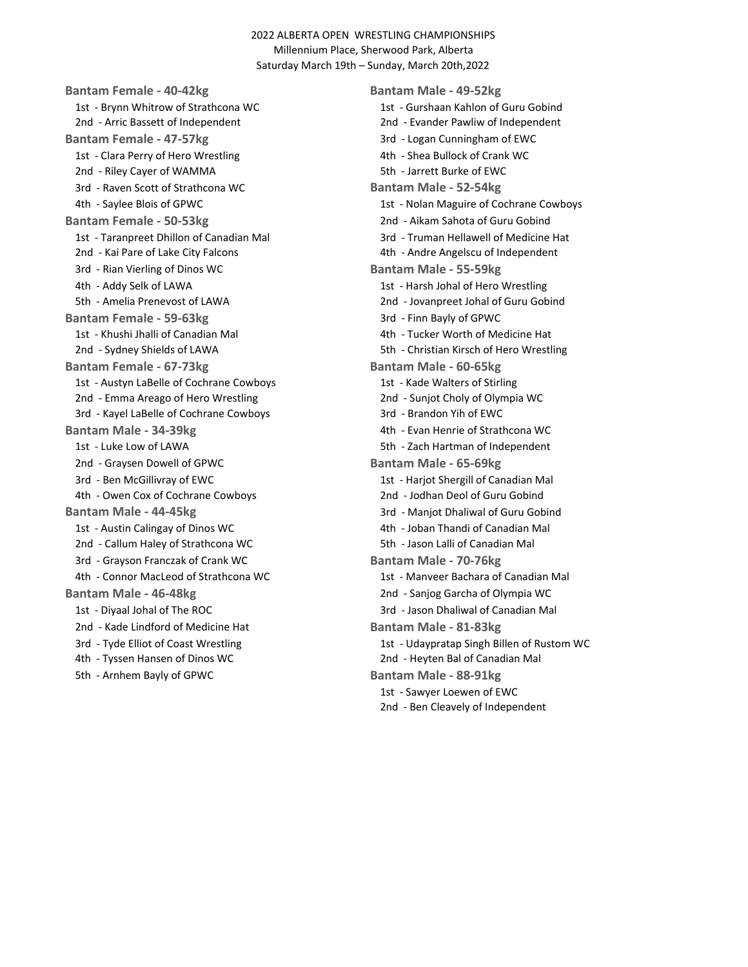Bantam Female - 40-42kg Bantam Male - 49-52kg 1st - Brynn Whitrow of Strathcona WC 1st - Gurshaan Kahlon of Guru Gobind 2nd - Arric Bassett of Independent 2nd - Evander Pawliw of Independent Bantam Female - 47-57kg 3rd - Logan Cunningham of EWC 1st - Clara Perry of Hero Wrestling and March 2011 March 2016 4th - Shea Bullock of Crank WC 2nd - Riley Cayer of WAMMA 5th - Jarrett Burke of EWC 3rd - Raven Scott of Strathcona WC Bantam Male - 52-54kg Bantam Female - 50-53kg 2nd - Aikam Sahota of Guru Gobind 1st - Taranpreet Dhillon of Canadian Mal 3rd - Truman Hellawell of Medicine Hat 2nd - Kai Pare of Lake City Falcons 4th - Andre Angelscu of Independent 3rd - Rian Vierling of Dinos WC Bantam Male - 55-59kg 4th - Addy Selk of LAWA 1st - Harsh Johal of Hero Wrestling 5th - Amelia Prenevost of LAWA 2nd - Jovanpreet Johal of Guru Gobind Bantam Female - 59-63kg 3rd - Finn Bayly of GPWC 1st - Khushi Jhalli of Canadian Mal 4th - Tucker Worth of Medicine Hat 2nd - Sydney Shields of LAWA 5th - Christian Kirsch of Hero Wrestling Bantam Female - 67-73kg Bantam Male - 60-65kg 1st - Austyn LaBelle of Cochrane Cowboys 1st - Kade Walters of Stirling 2nd - Emma Areago of Hero Wrestling 2nd - Sunjot Choly of Olympia WC 3rd - Kayel LaBelle of Cochrane Cowboys 3rd - Brandon Yih of EWC Bantam Male - 34-39kg 1986 1997 120 4th - Evan Henrie of Strathcona WC 1st - Luke Low of LAWA 5th - Zach Hartman of Independent 2nd - Graysen Dowell of GPWC Bantam Male - 65-69kg 3rd - Ben McGillivray of EWC 1st - Harjot Shergill of Canadian Mal 4th - Owen Cox of Cochrane Cowboys 2nd - Jodhan Deol of Guru Gobind Bantam Male - 44-45kg 3rd - Manjot Dhaliwal of Guru Gobind 1st - Austin Calingay of Dinos WC 4th - Joban Thandi of Canadian Mal 2nd - Callum Haley of Strathcona WC 5th - Jason Lalli of Canadian Mal 3rd - Grayson Franczak of Crank WC Bantam Male - 70-76kg 4th - Connor MacLeod of Strathcona WC 1st - Manveer Bachara of Canadian Mal Bantam Male - 46-48kg 2nd - Sanjog Garcha of Olympia WC 1st - Diyaal Johal of The ROC 3rd - Jason Dhaliwal of Canadian Mal 2nd - Kade Lindford of Medicine Hat Bantam Male - 81-83kg 4th - Tyssen Hansen of Dinos WC 2nd - Heyten Bal of Canadian Mal 5th - Arnhem Bayly of GPWC Bantam Male - 88-91kg

4th - Saylee Blois of GPWC 1st - Nolan Maguire of Cochrane Cowboys 3rd - Tyde Elliot of Coast Wrestling 1st - Udaypratap Singh Billen of Rustom WC 1st - Sawyer Loewen of EWC 2nd - Ben Cleavely of Independent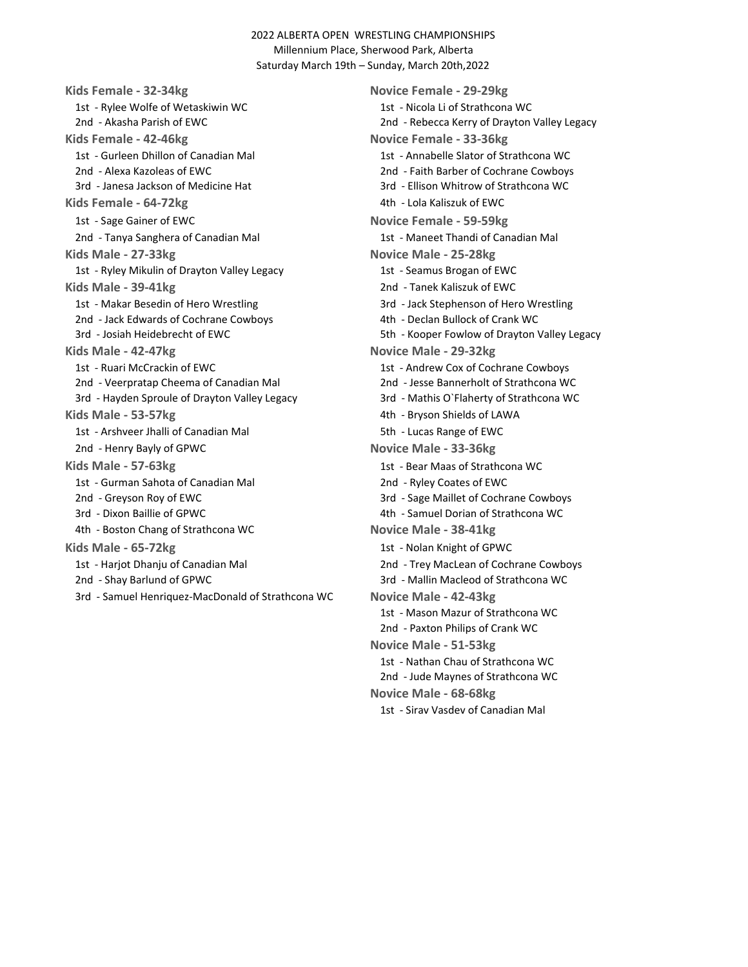Kids Female - 32-34kg Novice Female - 29-29kg 1st - Rylee Wolfe of Wetaskiwin WC 1st - Nicola Li of Strathcona WC 2nd - Akasha Parish of EWC 2nd - Rebecca Kerry of Drayton Valley Legacy Kids Female - 42-46kg Novice Female - 33-36kg 1st - Gurleen Dhillon of Canadian Mal 1st - Annabelle Slator of Strathcona WC 2nd - Alexa Kazoleas of EWC 2nd - Faith Barber of Cochrane Cowboys 3rd - Janesa Jackson of Medicine Hat 3rd - Ellison Whitrow of Strathcona WC Kids Female - 64-72kg and the state of the 4th - Lola Kaliszuk of EWC 1st - Sage Gainer of EWC Novice Female - 59-59kg 2nd - Tanya Sanghera of Canadian Mal 1st - Maneet Thandi of Canadian Mal Kids Male - 27-33kg Novice Male - 25-28kg 1st - Ryley Mikulin of Drayton Valley Legacy 1st - Seamus Brogan of EWC Kids Male - 39-41kg 2nd - Tanek Kaliszuk of EWC 1st - Makar Besedin of Hero Wrestling 3rd - Jack Stephenson of Hero Wrestling 2nd - Jack Edwards of Cochrane Cowboys 4th - Declan Bullock of Crank WC 3rd - Josiah Heidebrecht of EWC 6th - Kooper Fowlow of Drayton Valley Legacy Kids Male - 42-47kg Novice Male - 29-32kg 1st - Ruari McCrackin of EWC 1st - Andrew Cox of Cochrane Cowboys 2nd - Veerpratap Cheema of Canadian Mal 2nd - Jesse Bannerholt of Strathcona WC 3rd - Hayden Sproule of Drayton Valley Legacy 3rd - Mathis O`Flaherty of Strathcona WC Kids Male - 53-57kg 1980 1990 100 4th - Bryson Shields of LAWA 1st - Arshveer Jhalli of Canadian Mal 5th - Lucas Range of EWC 2nd - Henry Bayly of GPWC Novice Male - 33-36kg Kids Male - 57-63kg 1st - Bear Maas of Strathcona WC 1st - Gurman Sahota of Canadian Mal 2nd - Ryley Coates of EWC 2nd - Greyson Roy of EWC 3rd - Sage Maillet of Cochrane Cowboys 3rd - Dixon Baillie of GPWC 4th - Samuel Dorian of Strathcona WC 4th - Boston Chang of Strathcona WC Novice Male - 38-41kg Kids Male - 65-72kg 1st - Nolan Knight of GPWC 1st - Harjot Dhanju of Canadian Mal 2nd 2nd - Trey MacLean of Cochrane Cowboys 2nd - Shay Barlund of GPWC 3rd - Mallin Macleod of Strathcona WC 3rd - Samuel Henriquez-MacDonald of Strathcona WC Novice Male - 42-43kg

1st - Mason Mazur of Strathcona WC 2nd - Paxton Philips of Crank WC Novice Male - 51-53kg 1st - Nathan Chau of Strathcona WC 2nd - Jude Maynes of Strathcona WC Novice Male - 68-68kg 1st - Sirav Vasdev of Canadian Mal